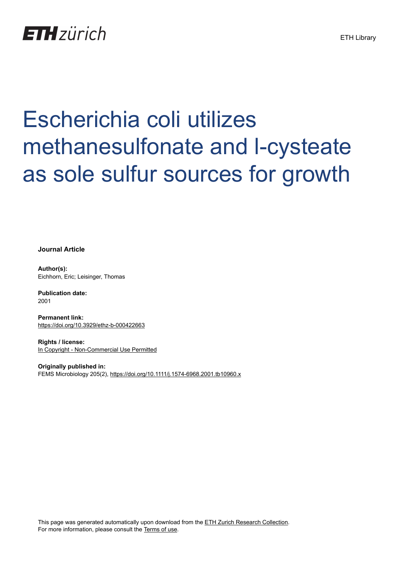

# Escherichia coli utilizes methanesulfonate and l-cysteate as sole sulfur sources for growth

**Journal Article**

**Author(s):** Eichhorn, Eric; Leisinger, Thomas

**Publication date:** 2001

**Permanent link:** <https://doi.org/10.3929/ethz-b-000422663>

**Rights / license:** [In Copyright - Non-Commercial Use Permitted](http://rightsstatements.org/page/InC-NC/1.0/)

**Originally published in:** FEMS Microbiology 205(2),<https://doi.org/10.1111/j.1574-6968.2001.tb10960.x>

This page was generated automatically upon download from the [ETH Zurich Research Collection.](https://www.research-collection.ethz.ch) For more information, please consult the [Terms of use](https://www.research-collection.ethz.ch/terms-of-use).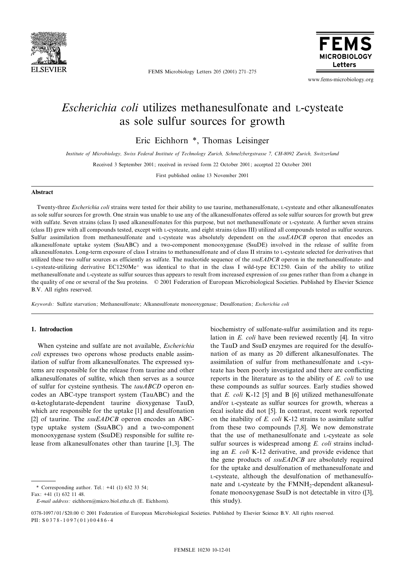

FEMS Microbiology Letters 205 (2001) 271-275



www.fems-microbiology.org

# Escherichia coli utilizes methanesulfonate and L-cysteate as sole sulfur sources for growth

Eric Eichhorn \*, Thomas Leisinger

Institute of Microbiology, Swiss Federal Institute of Technology Zurich, Schmelzbergstrasse 7, CH-8092 Zurich, Switzerland

Received 3 September 2001; received in revised form 22 October 2001; accepted 22 October 2001

First published online 13 November 2001

#### Abstract

Twenty-three *Escherichia coli* strains were tested for their ability to use taurine, methanesulfonate, L-cysteate and other alkanesulfonates as sole sulfur sources for growth. One strain was unable to use any of the alkanesulfonates offered as sole sulfur sources for growth but grew with sulfate. Seven strains (class I) used alkanesulfonates for this purpose, but not methanesulfonate or L-cysteate. A further seven strains (class II) grew with all compounds tested, except with L-cysteate, and eight strains (class III) utilized all compounds tested as sulfur sources. Sulfur assimilation from methanesulfonate and L-cysteate was absolutely dependent on the  $ssuEADCB$  operon that encodes an alkanesulfonate uptake system (SsuABC) and a two-component monooxygenase (SsuDE) involved in the release of sulfite from alkanesulfonates. Long-term exposure of class I strains to methanesulfonate and of class II strains to L-cysteate selected for derivatives that utilized these two sulfur sources as efficiently as sulfate. The nucleotide sequence of the  $ssuEADCB$  operon in the methanesulfonate- and L-cysteate-utilizing derivative EC1250Me<sup>+</sup> was identical to that in the class I wild-type EC1250. Gain of the ability to utilize methanesulfonate and L-cysteate as sulfur sources thus appears to result from increased expression of ssu genes rather than from a change in the quality of one or several of the Ssu proteins. © 2001 Federation of European Microbiological Societies. Published by Elsevier Science B.V. All rights reserved.

Keywords : Sulfate starvation; Methanesulfonate; Alkanesulfonate monooxygenase; Desulfonation; Escherichia coli

### 1. Introduction

When cysteine and sulfate are not available, *Escherichia* coli expresses two operons whose products enable assimilation of sulfur from alkanesulfonates. The expressed systems are responsible for the release from taurine and other alkanesulfonates of sulfite, which then serves as a source of sulfur for cysteine synthesis. The tauABCD operon encodes an ABC-type transport system (TauABC) and the  $\alpha$ -ketoglutarate-dependent taurine dioxygenase TauD, which are responsible for the uptake [1] and desulfonation [2] of taurine. The  $ssuEADCB$  operon encodes an ABCtype uptake system (SsuABC) and a two-component monooxygenase system (SsuDE) responsible for sulfite release from alkanesulfonates other than taurine [1,3]. The

biochemistry of sulfonate-sulfur assimilation and its regulation in E. coli have been reviewed recently [4]. In vitro the TauD and SsuD enzymes are required for the desulfonation of as many as 20 different alkanesulfonates. The assimilation of sulfur from methanesulfonate and L-cysteate has been poorly investigated and there are conflicting reports in the literature as to the ability of E. coli to use these compounds as sulfur sources. Early studies showed that  $E.$  coli K-12 [5] and B [6] utilized methanesulfonate and/or L-cysteate as sulfur sources for growth, whereas a fecal isolate did not [5]. In contrast, recent work reported on the inability of E. coli K-12 strains to assimilate sulfur from these two compounds [7,8]. We now demonstrate that the use of methanesulfonate and L-cysteate as sole sulfur sources is widespread among E. coli strains including an E. coli K-12 derivative, and provide evidence that the gene products of ssuEADCB are absolutely required for the uptake and desulfonation of methanesulfonate and L-cysteate, although the desulfonation of methanesulfonate and L-cysteate by the FMNH<sub>2</sub>-dependent alkanesulfonate monooxygenase SsuD is not detectable in vitro ([3], this study).

<sup>\*</sup> Corresponding author. Tel.: +41 (1) 632 33 54;

Fax: +41 (1) 632 11 48.

E-mail address : eichhorn@micro.biol.ethz.ch (E. Eichhorn).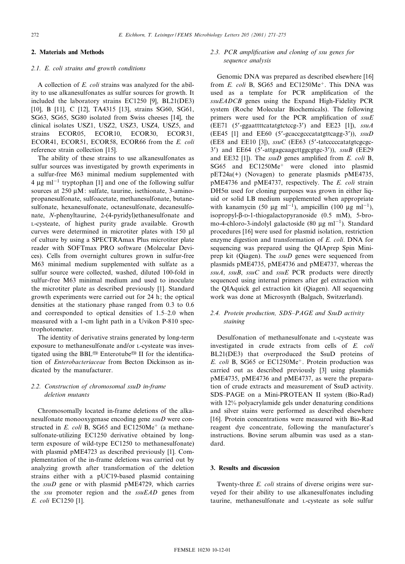# 2. Materials and Methods

# 2.1. E. coli strains and growth conditions

A collection of E. coli strains was analyzed for the ability to use alkanesulfonates as sulfur sources for growth. It included the laboratory strains EC1250 [9], BL21(DE3) [10], B [11], C [12], TA4315 [13], strains SG60, SG61, SG63, SG65, SG80 isolated from Swiss cheeses [14], the clinical isolates USZ1, USZ2, USZ3, USZ4, USZ5, and strains ECOR05, ECOR10, ECOR30, ECOR31, ECOR41, ECOR51, ECOR58, ECOR66 from the E. coli reference strain collection [15].

The ability of these strains to use alkanesulfonates as sulfur sources was investigated by growth experiments in a sulfur-free M63 minimal medium supplemented with 4  $\mu$ g ml<sup>-1</sup> tryptophan [1] and one of the following sulfur sources at  $250 \mu M$ : sulfate, taurine, isethionate, 3-aminopropanesulfonate, sulfoacetate, methanesulfonate, butanesulfonate, hexanesulfonate, octanesulfonate, decanesulfonate, N-phenyltaurine, 2-(4-pyridyl)ethanesulfonate and L-cysteate, of highest purity grade available. Growth curves were determined in microtiter plates with 150  $\mu$ l of culture by using a SPECTRAmax Plus microtiter plate reader with SOFTmax PRO software (Molecular Devices). Cells from overnight cultures grown in sulfur-free M63 minimal medium supplemented with sulfate as a sulfur source were collected, washed, diluted 100-fold in sulfur-free M63 minimal medium and used to inoculate the microtiter plate as described previously [1]. Standard growth experiments were carried out for 24 h; the optical densities at the stationary phase ranged from 0.3 to 0.6 and corresponded to optical densities of 1.5-2.0 when measured with a 1-cm light path in a Uvikon P-810 spectrophotometer.

The identity of derivative strains generated by long-term exposure to methanesulfonate and/or L-cysteate was investigated using the BBL<sup>®</sup> Enterotube<sup>®</sup> II for the identification of Enterobacteriaceae from Becton Dickinson as indicated by the manufacturer.

# 2.2. Construction of chromosomal ssuD in-frame deletion mutants

Chromosomally located in-frame deletions of the alkanesulfonate monooxygenase encoding gene ssuD were constructed in E. coli B, SG65 and EC1250Me<sup>+</sup> (a methanesulfonate-utilizing EC1250 derivative obtained by longterm exposure of wild-type EC1250 to methanesulfonate) with plasmid pME4723 as described previously [1]. Complementation of the in-frame deletions was carried out by analyzing growth after transformation of the deletion strains either with a pUC19-based plasmid containing the ssuD gene or with plasmid pME4729, which carries the ssu promoter region and the  $ssuEAD$  genes from E. coli EC1250 [1].

# 2.3. PCR amplification and cloning of ssu genes for sequence analysis

Genomic DNA was prepared as described elsewhere [16] from  $E$ . coli B, SG65 and EC1250Me<sup>+</sup>. This DNA was used as a template for PCR amplification of the ssuEADCB genes using the Expand High-Fidelity PCR system (Roche Molecular Biochemicals). The following primers were used for the PCR amplification of  $ssuE$ (EE71 (5'-ggaattttcatatgtctccg-3') and EE23 [1]),  $ssuA$ (EE45 [1] and EE60 (5'-gcaccgcccatatgttcagg-3')),  $ssuD$ (EE8 and EE10 [3]),  $ssuC$  (EE63 (5'-tatcccccatatgtcgcgc-3') and EE64 (5'-attgagcaagcttggcgtgc-3')),  $ssuB$  (EE29 and EE32 [1]). The  $ssuD$  genes amplified from E. coli B, SG65 and EC1250Me<sup>+</sup> were cloned into plasmid pET24a(+) (Novagen) to generate plasmids pME4735, pME4736 and pME4737, respectively. The E. coli strain  $DH5\alpha$  used for cloning purposes was grown in either liquid or solid LB medium supplemented when appropriate with kanamycin (50  $\mu$ g ml<sup>-1</sup>), ampicillin (100  $\mu$ g ml<sup>-1</sup>), isopropyl- $\beta$ -D-1-thiogalactopyranoside (0.5 mM), 5-bromo-4-chloro-3-indolyl galactoside (80  $\mu$ g ml<sup>-1</sup>). Standard procedures [16] were used for plasmid isolation, restriction enzyme digestion and transformation of E. coli. DNA for sequencing was prepared using the QIAprep Spin Miniprep kit (Qiagen). The *ssuD* genes were sequenced from plasmids pME4735, pME4736 and pME4737, whereas the  $ssuA$ ,  $ssuB$ ,  $ssuC$  and  $ssuE$  PCR products were directly sequenced using internal primers after gel extraction with the QIAquick gel extraction kit (Qiagen). All sequencing work was done at Microsynth (Balgach, Switzerland).

# 2.4. Protein production, SDS-PAGE and SsuD activity staining

Desulfonation of methanesulfonate and L-cysteate was investigated in crude extracts from cells of E. coli BL21(DE3) that overproduced the SsuD proteins of E. coli B, SG65 or EC1250Me<sup>+</sup>. Protein production was carried out as described previously [3] using plasmids pME4735, pME4736 and pME4737, as were the preparation of crude extracts and measurement of SsuD activity. SDS^PAGE on a Mini-PROTEAN II system (Bio-Rad) with 12% polyacrylamide gels under denaturing conditions and silver stains were performed as described elsewhere [16]. Protein concentrations were measured with Bio-Rad reagent dye concentrate, following the manufacturer's instructions. Bovine serum albumin was used as a standard.

### 3. Results and discussion

Twenty-three E. coli strains of diverse origins were surveyed for their ability to use alkanesulfonates including taurine, methanesulfonate and L-cysteate as sole sulfur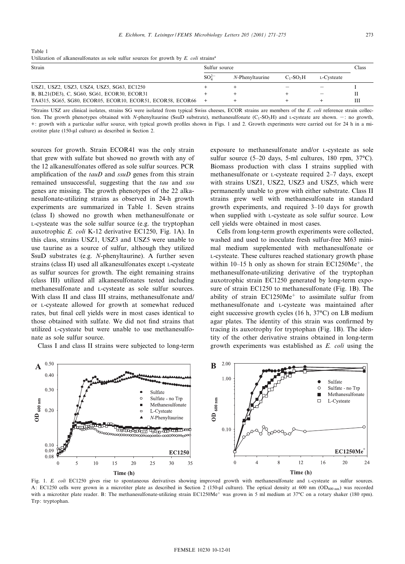Table 1 Utilization of alkanesulfonates as sole sulfur sources for growth by  $E$ , coli strains<sup>a</sup>

| Strain                                                     | Sulfur source                                                 |  |            |  | Class |
|------------------------------------------------------------|---------------------------------------------------------------|--|------------|--|-------|
|                                                            | $SO_4^{2-}$<br>$N$ -Phenyltaurine<br>$C_1$ -SO <sub>2</sub> H |  | L-Cysteate |  |       |
|                                                            |                                                               |  |            |  |       |
| USZ1, USZ2, USZ3, USZ4, USZ5, SG63, EC1250                 |                                                               |  |            |  |       |
| B, BL21(DE3), C, SG60, SG61, ECOR30, ECOR31                |                                                               |  |            |  |       |
| TA4315, SG65, SG80, ECOR05, ECOR10, ECOR51, ECOR58, ECOR66 |                                                               |  |            |  |       |

<sup>a</sup>Strains USZ are clinical isolates, strains SG were isolated from typical Swiss cheeses, ECOR strains are members of the E. coli reference strain collection. The growth phenotypes obtained with N-phenyltaurine (SsuD substrate), methanesulfonate  $(C_1$ -SO<sub>3</sub>H) and L-cysteate are shown.  $-$ : no growth, +: growth with a particular sulfur source, with typical growth profiles shown in Figs. 1 and 2. Growth experiments were carried out for 24 h in a microtiter plate (150-µl culture) as described in Section 2.

sources for growth. Strain ECOR41 was the only strain that grew with sulfate but showed no growth with any of the 12 alkanesulfonates offered as sole sulfur sources. PCR amplification of the  $tauD$  and  $ssuD$  genes from this strain remained unsuccessful, suggesting that the *tau* and *ssu* genes are missing. The growth phenotypes of the 22 alkanesulfonate-utilizing strains as observed in 24-h growth experiments are summarized in Table 1. Seven strains (class I) showed no growth when methanesulfonate or L-cysteate was the sole sulfur source (e.g. the tryptophan auxotrophic E. coli K-12 derivative EC1250, Fig. 1A). In this class, strains USZ1, USZ3 and USZ5 were unable to use taurine as a source of sulfur, although they utilized SsuD substrates (e.g. N-phenyltaurine). A further seven strains (class II) used all alkanesulfonates except L-cysteate as sulfur sources for growth. The eight remaining strains (class III) utilized all alkanesulfonates tested including methanesulfonate and L-cysteate as sole sulfur sources. With class II and class III strains, methanesulfonate and/ or L-cysteate allowed for growth at somewhat reduced rates, but final cell yields were in most cases identical to those obtained with sulfate. We did not find strains that utilized L-cysteate but were unable to use methanesulfonate as sole sulfur source.

Class I and class II strains were subjected to long-term

exposure to methanesulfonate and/or L-cysteate as sole sulfur source  $(5-20$  days, 5-ml cultures, 180 rpm,  $37^{\circ}$ C). Biomass production with class I strains supplied with methanesulfonate or *L*-cysteate required 2–7 days, except with strains USZ1, USZ2, USZ3 and USZ5, which were permanently unable to grow with either substrate. Class II strains grew well with methanesulfonate in standard growth experiments, and required 3^10 days for growth when supplied with L-cysteate as sole sulfur source. Low cell yields were obtained in most cases.

Cells from long-term growth experiments were collected, washed and used to inoculate fresh sulfur-free M63 minimal medium supplemented with methanesulfonate or L-cysteate. These cultures reached stationary growth phase within  $10-15$  h only as shown for strain EC1250Me<sup>+</sup>, the methanesulfonate-utilizing derivative of the tryptophan auxotrophic strain EC1250 generated by long-term exposure of strain EC1250 to methanesulfonate (Fig. 1B). The ability of strain  $EC1250Me<sup>+</sup>$  to assimilate sulfur from methanesulfonate and L-cysteate was maintained after eight successive growth cycles (16 h,  $37^{\circ}$ C) on LB medium agar plates. The identity of this strain was confirmed by tracing its auxotrophy for tryptophan (Fig. 1B). The identity of the other derivative strains obtained in long-term growth experiments was established as E. coli using the



Fig. 1. E. coli EC1250 gives rise to spontaneous derivatives showing improved growth with methanesulfonate and L-cysteate as sulfur sources. A: EC1250 cells were grown in a microtiter plate as described in Section 2 (150-ul culture). The optical density at 600 nm (OD<sub>600 nm</sub>) was recorded with a microtiter plate reader. B: The methanesulfonate-utilizing strain EC1250Me<sup>+</sup> was grown in 5 ml medium at 37°C on a rotary shaker (180 rpm). Trp: tryptophan.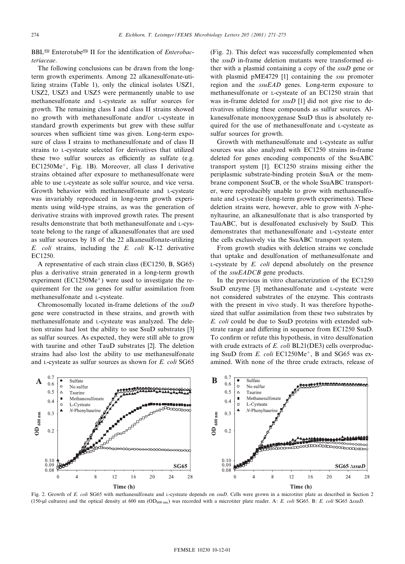BBL<sup>®</sup> Enterotube<sup>®</sup> II for the identification of *Enterobac*teriaceae.

The following conclusions can be drawn from the longterm growth experiments. Among 22 alkanesulfonate-utilizing strains (Table 1), only the clinical isolates USZ1, USZ2, USZ3 and USZ5 were permanently unable to use methanesulfonate and L-cysteate as sulfur sources for growth. The remaining class I and class II strains showed no growth with methanesulfonate and/or L-cysteate in standard growth experiments but grew with these sulfur sources when sufficient time was given. Long-term exposure of class I strains to methanesulfonate and of class II strains to L-cysteate selected for derivatives that utilized these two sulfur sources as efficiently as sulfate (e.g.  $EC1250Me<sup>+</sup>$ , Fig. 1B). Moreover, all class I derivative strains obtained after exposure to methanesulfonate were able to use L-cysteate as sole sulfur source, and vice versa. Growth behavior with methanesulfonate and L-cysteate was invariably reproduced in long-term growth experiments using wild-type strains, as was the generation of derivative strains with improved growth rates. The present results demonstrate that both methanesulfonate and L-cysteate belong to the range of alkanesulfonates that are used as sulfur sources by 18 of the 22 alkanesulfonate-utilizing E. coli strains, including the E. coli K-12 derivative EC1250.

A representative of each strain class (EC1250, B, SG65) plus a derivative strain generated in a long-term growth experiment ( $EC1250Me<sup>+</sup>$ ) were used to investigate the requirement for the *ssu* genes for sulfur assimilation from methanesulfonate and L-cysteate.

Chromosomally located in-frame deletions of the ssuD gene were constructed in these strains, and growth with methanesulfonate and L-cysteate was analyzed. The deletion strains had lost the ability to use SsuD substrates [3] as sulfur sources. As expected, they were still able to grow with taurine and other TauD substrates [2]. The deletion strains had also lost the ability to use methanesulfonate and L-cysteate as sulfur sources as shown for E. coli SG65 (Fig. 2). This defect was successfully complemented when the ssuD in-frame deletion mutants were transformed either with a plasmid containing a copy of the ssuD gene or with plasmid pME4729 [1] containing the *ssu* promoter region and the  $ssuEAD$  genes. Long-term exposure to methanesulfonate or L-cysteate of an EC1250 strain that was in-frame deleted for  $ssuD$  [1] did not give rise to derivatives utilizing these compounds as sulfur sources. Alkanesulfonate monooxygenase SsuD thus is absolutely required for the use of methanesulfonate and L-cysteate as sulfur sources for growth.

Growth with methanesulfonate and L-cysteate as sulfur sources was also analyzed with EC1250 strains in-frame deleted for genes encoding components of the SsuABC transport system [1]. EC1250 strains missing either the periplasmic substrate-binding protein SsuA or the membrane component SsuCB, or the whole SsuABC transporter, were reproducibly unable to grow with methanesulfonate and L-cysteate (long-term growth experiments). These deletion strains were, however, able to grow with  $N$ -phenyltaurine, an alkanesulfonate that is also transported by TauABC, but is desulfonated exclusively by SsuD. This demonstrates that methanesulfonate and L-cysteate enter the cells exclusively via the SsuABC transport system.

From growth studies with deletion strains we conclude that uptake and desulfonation of methanesulfonate and  $L$ -cysteate by  $E$ . *coli* depend absolutely on the presence of the *ssuEADCB* gene products.

In the previous in vitro characterization of the EC1250 SsuD enzyme [3] methanesulfonate and L-cysteate were not considered substrates of the enzyme. This contrasts with the present in vivo study. It was therefore hypothesized that sulfur assimilation from these two substrates by E. coli could be due to SsuD proteins with extended substrate range and differing in sequence from EC1250 SsuD. To confirm or refute this hypothesis, in vitro desulfonation with crude extracts of E. coli BL21(DE3) cells overproducing SsuD from  $E$ . coli  $EC1250Me^+$ , B and SG65 was examined. With none of the three crude extracts, release of



Fig. 2. Growth of E. coli SG65 with methanesulfonate and L-cysteate depends on  $ssuD$ . Cells were grown in a microtiter plate as described in Section 2 (150-µl cultures) and the optical density at 600 nm (OD<sub>600 nm</sub>) was recorded with a microtiter plate reader. A: E. coli SG65. B: E. coli SG65 AssuD.